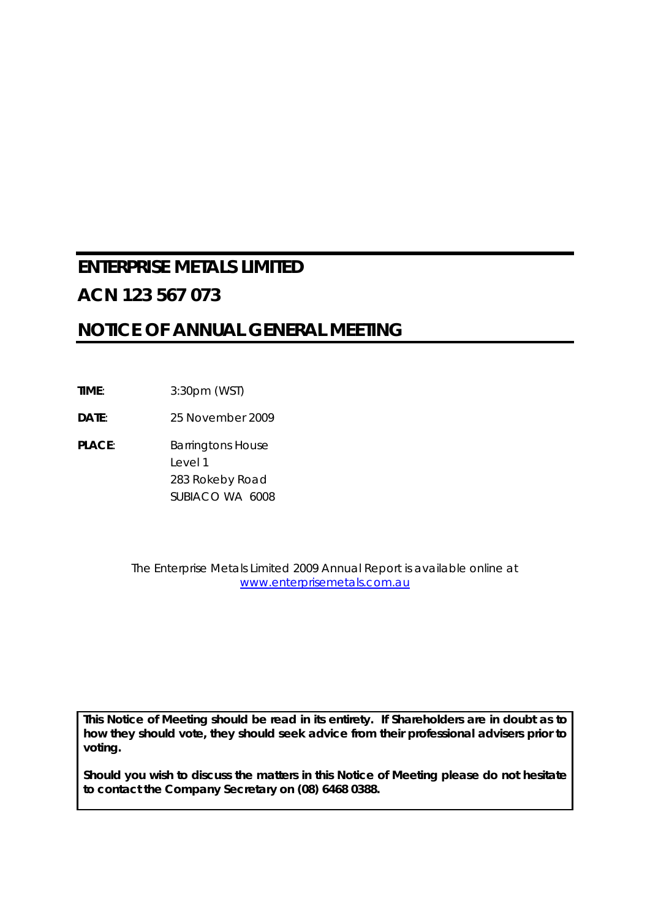# **ENTERPRISE METALS LIMITED ACN 123 567 073**

# **NOTICE OF ANNUAL GENERAL MEETING**

**TIME**: 3:30pm (WST)

**DATE**: 25 November 2009

PLACE: Barringtons House Level 1 283 Rokeby Road SUBIACO WA 6008

> The Enterprise Metals Limited 2009 Annual Report is available online at www.enterprisemetals.com.au

*This Notice of Meeting should be read in its entirety. If Shareholders are in doubt as to how they should vote, they should seek advice from their professional advisers prior to voting.* 

*Should you wish to discuss the matters in this Notice of Meeting please do not hesitate to contact the Company Secretary on (08) 6468 0388.*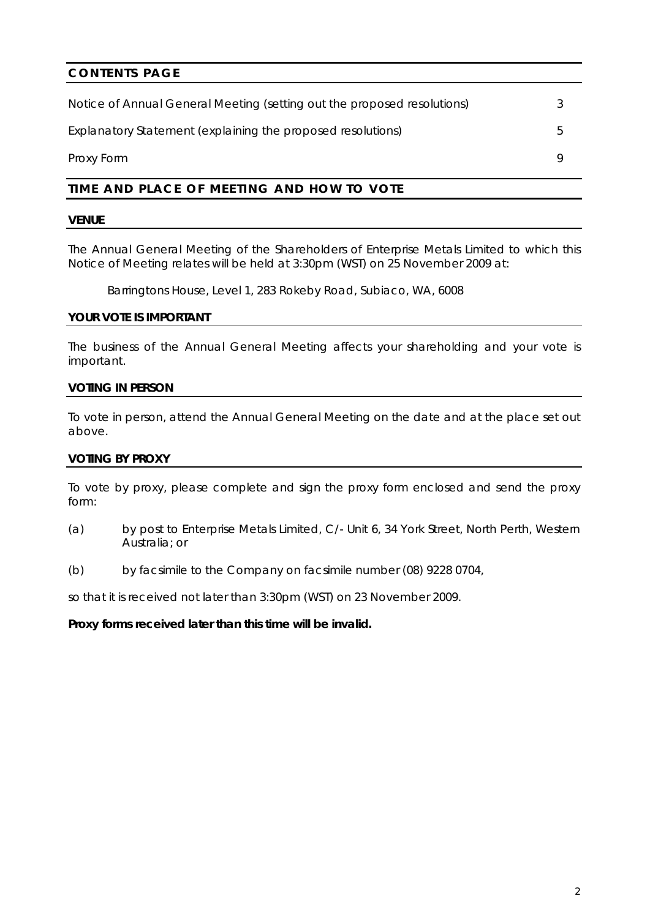## **CONTENTS PAGE**

| Notice of Annual General Meeting (setting out the proposed resolutions) |  |
|-------------------------------------------------------------------------|--|
| Explanatory Statement (explaining the proposed resolutions)             |  |
| Proxy Form                                                              |  |

## **TIME AND PLACE OF MEETING AND HOW TO VOTE**

### **VENUE**

The Annual General Meeting of the Shareholders of Enterprise Metals Limited to which this Notice of Meeting relates will be held at 3:30pm (WST) on 25 November 2009 at:

Barringtons House, Level 1, 283 Rokeby Road, Subiaco, WA, 6008

### **YOUR VOTE IS IMPORTANT**

The business of the Annual General Meeting affects your shareholding and your vote is important.

### **VOTING IN PERSON**

To vote in person, attend the Annual General Meeting on the date and at the place set out above.

### **VOTING BY PROXY**

To vote by proxy, please complete and sign the proxy form enclosed and send the proxy form:

- (a) by post to Enterprise Metals Limited, C/- Unit 6, 34 York Street, North Perth, Western Australia; or
- (b) by facsimile to the Company on facsimile number (08) 9228 0704,

so that it is received not later than 3:30pm (WST) on 23 November 2009.

### **Proxy forms received later than this time will be invalid.**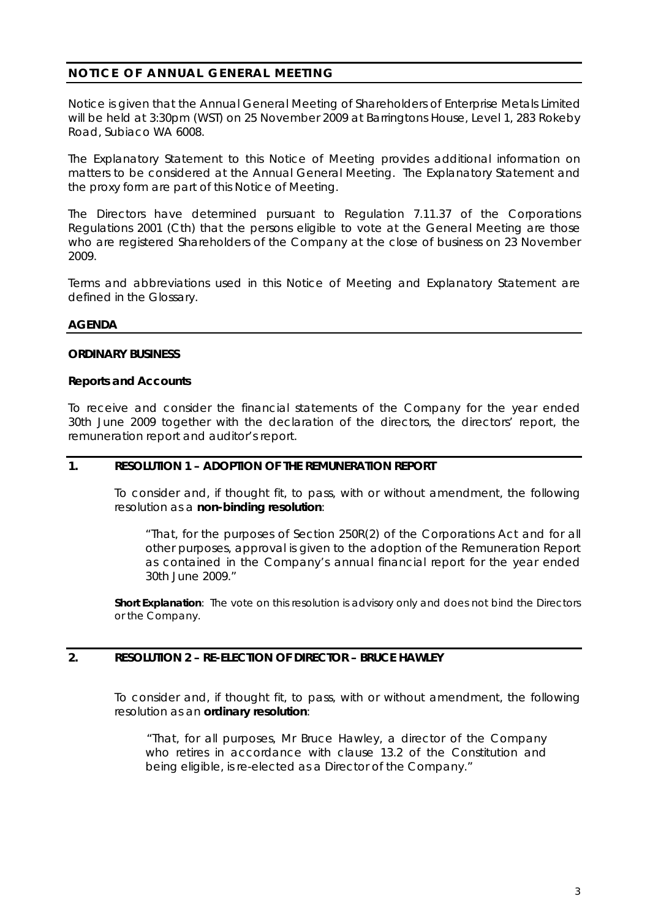## **NOTICE OF ANNUAL GENERAL MEETING**

Notice is given that the Annual General Meeting of Shareholders of Enterprise Metals Limited will be held at 3:30pm (WST) on 25 November 2009 at Barringtons House, Level 1, 283 Rokeby Road, Subiaco WA 6008.

The Explanatory Statement to this Notice of Meeting provides additional information on matters to be considered at the Annual General Meeting. The Explanatory Statement and the proxy form are part of this Notice of Meeting.

The Directors have determined pursuant to Regulation 7.11.37 of the Corporations Regulations 2001 (Cth) that the persons eligible to vote at the General Meeting are those who are registered Shareholders of the Company at the close of business on 23 November 2009.

Terms and abbreviations used in this Notice of Meeting and Explanatory Statement are defined in the Glossary.

### **AGENDA**

### **ORDINARY BUSINESS**

### **Reports and Accounts**

To receive and consider the financial statements of the Company for the year ended 30th June 2009 together with the declaration of the directors, the directors' report, the remuneration report and auditor's report.

### **1. RESOLUTION 1 – ADOPTION OF THE REMUNERATION REPORT**

To consider and, if thought fit, to pass, with or without amendment, the following resolution as a **non-binding resolution**:

*"That, for the purposes of Section 250R(2) of the Corporations Act and for all other purposes, approval is given to the adoption of the Remuneration Report as contained in the Company's annual financial report for the year ended 30th June 2009."* 

**Short Explanation**: The vote on this resolution is advisory only and does not bind the Directors or the Company.

### **2. RESOLUTION 2 – RE-ELECTION OF DIRECTOR – BRUCE HAWLEY**

To consider and, if thought fit, to pass, with or without amendment, the following resolution as an **ordinary resolution**:

*"That, for all purposes, Mr Bruce Hawley, a director of the Company who retires in accordance with clause 13.2 of the Constitution and being eligible, is re-elected as a Director of the Company."*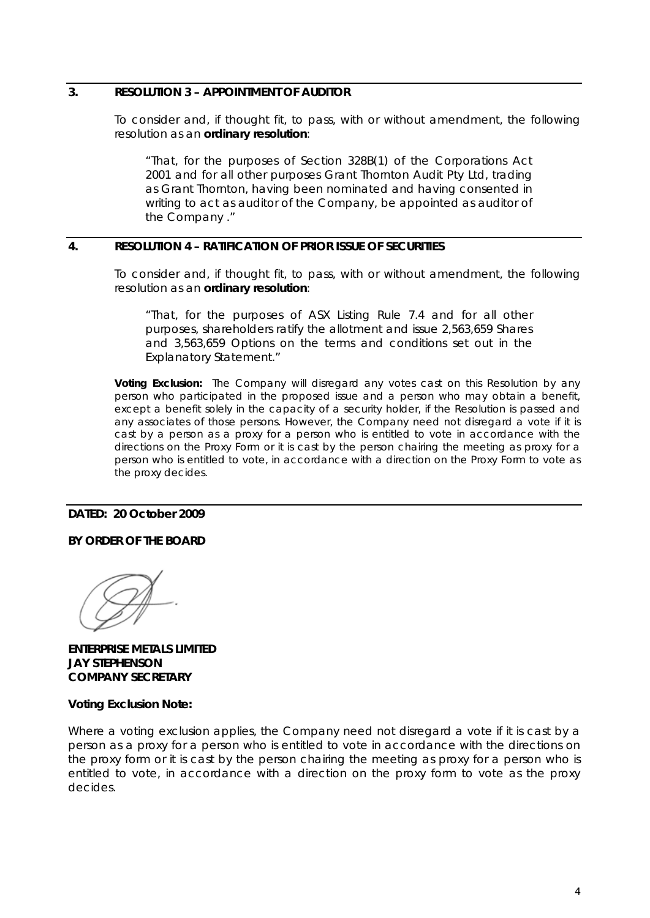### **3. RESOLUTION 3 – APPOINTMENT OF AUDITOR**

To consider and, if thought fit, to pass, with or without amendment, the following resolution as an **ordinary resolution**:

*"That, for the purposes of Section 328B(1) of the Corporations Act 2001 and for all other purposes Grant Thornton Audit Pty Ltd, trading as Grant Thornton, having been nominated and having consented in writing to act as auditor of the Company, be appointed as auditor of the Company ."* 

### **4. RESOLUTION 4 – RATIFICATION OF PRIOR ISSUE OF SECURITIES**

To consider and, if thought fit, to pass, with or without amendment, the following resolution as an **ordinary resolution**:

*"That, for the purposes of ASX Listing Rule 7.4 and for all other purposes, shareholders ratify the allotment and issue 2,563,659 Shares and 3,563,659 Options on the terms and conditions set out in the Explanatory Statement."* 

**Voting Exclusion:** The Company will disregard any votes cast on this Resolution by any person who participated in the proposed issue and a person who may obtain a benefit, except a benefit solely in the capacity of a security holder, if the Resolution is passed and any associates of those persons. However, the Company need not disregard a vote if it is cast by a person as a proxy for a person who is entitled to vote in accordance with the directions on the Proxy Form or it is cast by the person chairing the meeting as proxy for a person who is entitled to vote, in accordance with a direction on the Proxy Form to vote as the proxy decides.

### **DATED: 20 October 2009**

### **BY ORDER OF THE BOARD**

**ENTERPRISE METALS LIMITED JAY STEPHENSON COMPANY SECRETARY** 

### **Voting Exclusion Note:**

Where a voting exclusion applies, the Company need not disregard a vote if it is cast by a person as a proxy for a person who is entitled to vote in accordance with the directions on the proxy form or it is cast by the person chairing the meeting as proxy for a person who is entitled to vote, in accordance with a direction on the proxy form to vote as the proxy decides.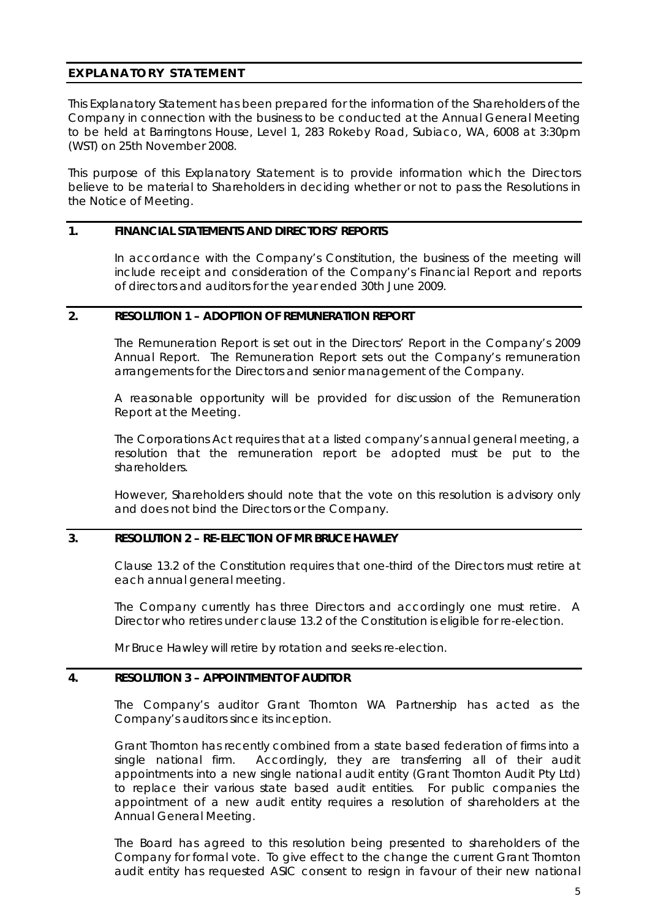### **EXPLANATORY STATEMENT**

This Explanatory Statement has been prepared for the information of the Shareholders of the Company in connection with the business to be conducted at the Annual General Meeting to be held at Barringtons House, Level 1, 283 Rokeby Road, Subiaco, WA, 6008 at 3:30pm (WST) on 25th November 2008.

This purpose of this Explanatory Statement is to provide information which the Directors believe to be material to Shareholders in deciding whether or not to pass the Resolutions in the Notice of Meeting.

### **1. FINANCIAL STATEMENTS AND DIRECTORS' REPORTS**

In accordance with the Company's Constitution, the business of the meeting will include receipt and consideration of the Company's Financial Report and reports of directors and auditors for the year ended 30th June 2009.

### **2. RESOLUTION 1 – ADOPTION OF REMUNERATION REPORT**

The Remuneration Report is set out in the Directors' Report in the Company's 2009 Annual Report. The Remuneration Report sets out the Company's remuneration arrangements for the Directors and senior management of the Company.

A reasonable opportunity will be provided for discussion of the Remuneration Report at the Meeting.

The Corporations Act requires that at a listed company's annual general meeting, a resolution that the remuneration report be adopted must be put to the shareholders.

However, Shareholders should note that the vote on this resolution is advisory only and does not bind the Directors or the Company.

### **3. RESOLUTION 2 – RE-ELECTION OF MR BRUCE HAWLEY**

Clause 13.2 of the Constitution requires that one-third of the Directors must retire at each annual general meeting.

The Company currently has three Directors and accordingly one must retire. A Director who retires under clause 13.2 of the Constitution is eligible for re-election.

Mr Bruce Hawley will retire by rotation and seeks re-election.

### **4. RESOLUTION 3 – APPOINTMENT OF AUDITOR**

The Company's auditor Grant Thornton WA Partnership has acted as the Company's auditors since its inception.

Grant Thornton has recently combined from a state based federation of firms into a single national firm. Accordingly, they are transferring all of their audit appointments into a new single national audit entity (Grant Thornton Audit Pty Ltd) to replace their various state based audit entities. For public companies the appointment of a new audit entity requires a resolution of shareholders at the Annual General Meeting.

The Board has agreed to this resolution being presented to shareholders of the Company for formal vote. To give effect to the change the current Grant Thornton audit entity has requested ASIC consent to resign in favour of their new national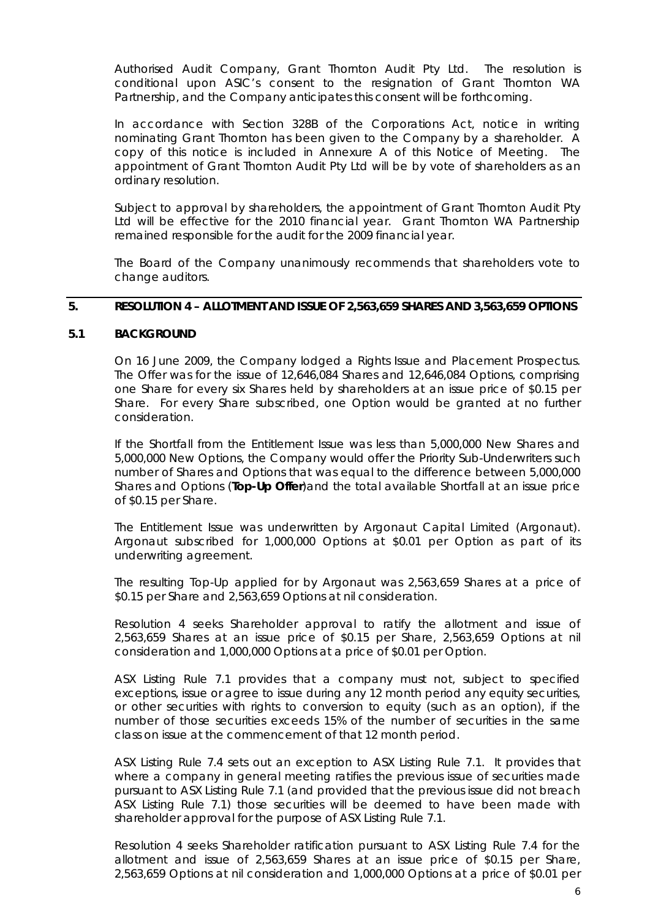Authorised Audit Company, Grant Thornton Audit Pty Ltd. The resolution is conditional upon ASIC's consent to the resignation of Grant Thornton WA Partnership, and the Company anticipates this consent will be forthcoming.

In accordance with Section 328B of the Corporations Act, notice in writing nominating Grant Thornton has been given to the Company by a shareholder. A copy of this notice is included in Annexure A of this Notice of Meeting. The appointment of Grant Thornton Audit Pty Ltd will be by vote of shareholders as an ordinary resolution.

Subject to approval by shareholders, the appointment of Grant Thornton Audit Pty Ltd will be effective for the 2010 financial year. Grant Thornton WA Partnership remained responsible for the audit for the 2009 financial year.

The Board of the Company unanimously recommends that shareholders vote to change auditors.

### **5. RESOLUTION 4 – ALLOTMENT AND ISSUE OF 2,563,659 SHARES AND 3,563,659 OPTIONS**

### **5.1 BACKGROUND**

On 16 June 2009, the Company lodged a Rights Issue and Placement Prospectus. The Offer was for the issue of 12,646,084 Shares and 12,646,084 Options, comprising one Share for every six Shares held by shareholders at an issue price of \$0.15 per Share. For every Share subscribed, one Option would be granted at no further consideration.

If the Shortfall from the Entitlement Issue was less than 5,000,000 New Shares and 5,000,000 New Options, the Company would offer the Priority Sub-Underwriters such number of Shares and Options that was equal to the difference between 5,000,000 Shares and Options (**Top-Up Offer**)and the total available Shortfall at an issue price of \$0.15 per Share.

The Entitlement Issue was underwritten by Argonaut Capital Limited (Argonaut). Argonaut subscribed for 1,000,000 Options at \$0.01 per Option as part of its underwriting agreement.

The resulting Top-Up applied for by Argonaut was 2,563,659 Shares at a price of \$0.15 per Share and 2,563,659 Options at nil consideration.

Resolution 4 seeks Shareholder approval to ratify the allotment and issue of 2,563,659 Shares at an issue price of \$0.15 per Share, 2,563,659 Options at nil consideration and 1,000,000 Options at a price of \$0.01 per Option.

ASX Listing Rule 7.1 provides that a company must not, subject to specified exceptions, issue or agree to issue during any 12 month period any equity securities, or other securities with rights to conversion to equity (such as an option), if the number of those securities exceeds 15% of the number of securities in the same class on issue at the commencement of that 12 month period.

ASX Listing Rule 7.4 sets out an exception to ASX Listing Rule 7.1. It provides that where a company in general meeting ratifies the previous issue of securities made pursuant to ASX Listing Rule 7.1 (and provided that the previous issue did not breach ASX Listing Rule 7.1) those securities will be deemed to have been made with shareholder approval for the purpose of ASX Listing Rule 7.1.

Resolution 4 seeks Shareholder ratification pursuant to ASX Listing Rule 7.4 for the allotment and issue of 2,563,659 Shares at an issue price of \$0.15 per Share, 2,563,659 Options at nil consideration and 1,000,000 Options at a price of \$0.01 per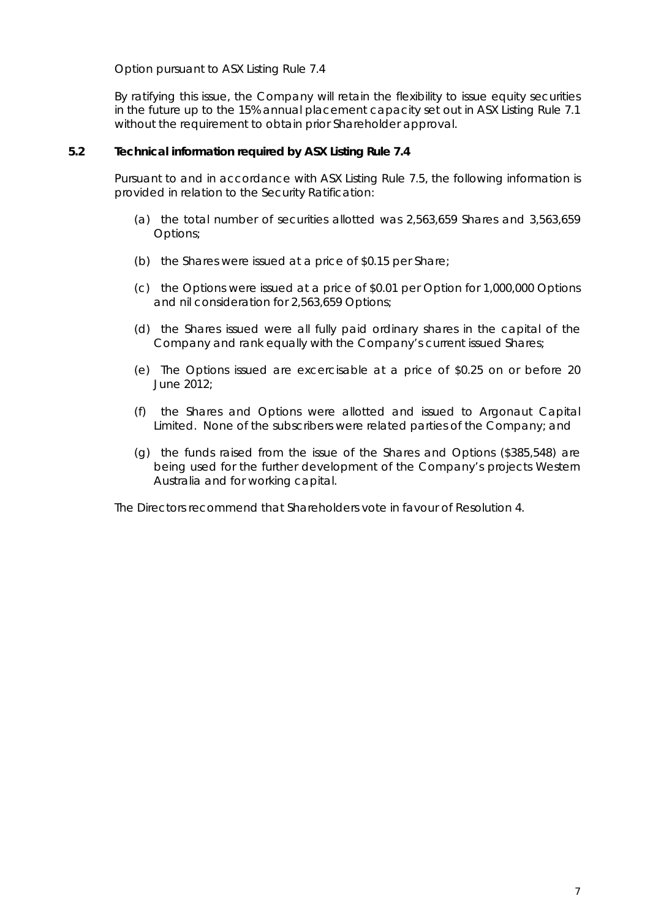Option pursuant to ASX Listing Rule 7.4

By ratifying this issue, the Company will retain the flexibility to issue equity securities in the future up to the 15% annual placement capacity set out in ASX Listing Rule 7.1 without the requirement to obtain prior Shareholder approval.

### **5.2 Technical information required by ASX Listing Rule 7.4**

Pursuant to and in accordance with ASX Listing Rule 7.5, the following information is provided in relation to the Security Ratification:

- (a) the total number of securities allotted was 2,563,659 Shares and 3,563,659 Options;
- (b) the Shares were issued at a price of \$0.15 per Share;
- (c) the Options were issued at a price of \$0.01 per Option for 1,000,000 Options and nil consideration for 2,563,659 Options;
- (d) the Shares issued were all fully paid ordinary shares in the capital of the Company and rank equally with the Company's current issued Shares;
- (e) The Options issued are excercisable at a price of \$0.25 on or before 20 June 2012;
- (f) the Shares and Options were allotted and issued to Argonaut Capital Limited. None of the subscribers were related parties of the Company; and
- (g) the funds raised from the issue of the Shares and Options (\$385,548) are being used for the further development of the Company's projects Western Australia and for working capital.

The Directors recommend that Shareholders vote in favour of Resolution 4.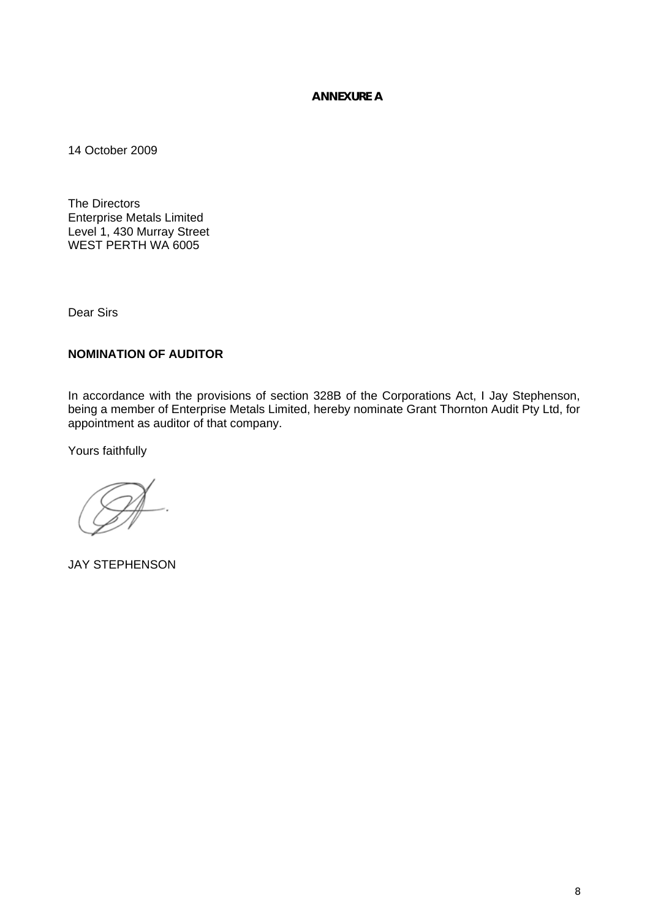### **ANNEXURE A**

14 October 2009

The Directors Enterprise Metals Limited Level 1, 430 Murray Street WEST PERTH WA 6005

Dear Sirs

## **NOMINATION OF AUDITOR**

In accordance with the provisions of section 328B of the Corporations Act, I Jay Stephenson, being a member of Enterprise Metals Limited, hereby nominate Grant Thornton Audit Pty Ltd, for appointment as auditor of that company.

Yours faithfully

JAY STEPHENSON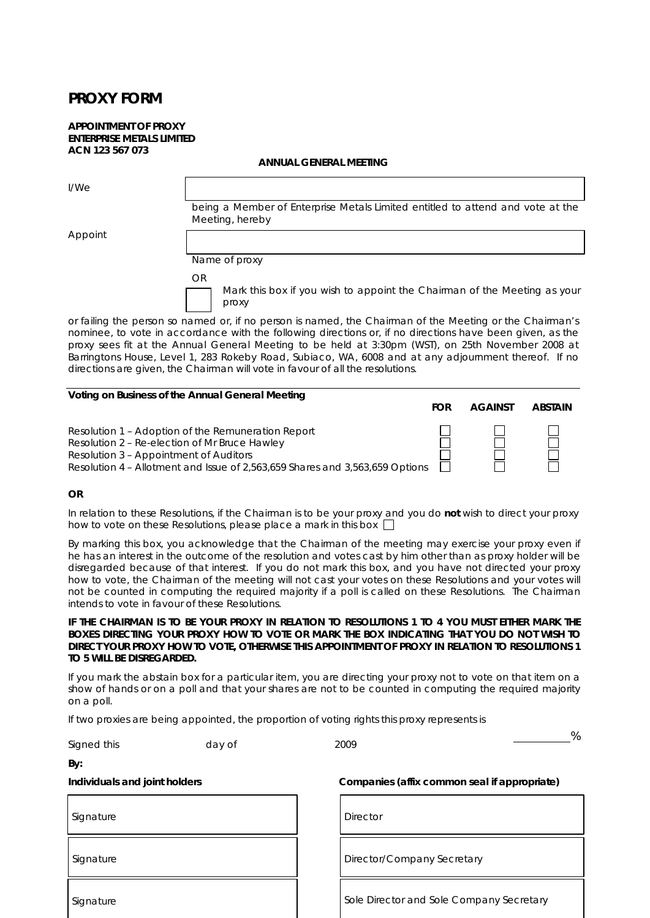# **PROXY FORM**

#### **APPOINTMENT OF PROXY ENTERPRISE METALS LIMITED ACN 123 567 073**

#### **ANNUAL GENERAL MEETING**

| I/We    |                                                                                                           |
|---------|-----------------------------------------------------------------------------------------------------------|
|         | being a Member of Enterprise Metals Limited entitled to attend and vote at the<br>Meeting, hereby         |
| Appoint |                                                                                                           |
|         | Name of proxy                                                                                             |
|         | OR                                                                                                        |
|         | Mark this box if you wish to appoint the Chairman of the Meeting as your<br>proxy                         |
|         | or failing the person so named or, if no person is named, the Chairman of the Meeting or the Chairman's   |
|         | nominee, to vote in accordance with the following directions or, if no directions have been given, as the |
|         | proxy sees fit at the Annual General Meeting to be held at 3:30pm (WST), on 25th November 2008 at         |
|         | Barringtons House, Level 1, 283 Rokeby Road, Subiaco, WA, 6008 and at any adjournment thereof. If no      |

| Voting on Business of the Annual General Meeting                                                                                                                                                                              | FOR | <b>AGAINST</b> | <b>ABSTAIN</b> |
|-------------------------------------------------------------------------------------------------------------------------------------------------------------------------------------------------------------------------------|-----|----------------|----------------|
| Resolution 1 – Adoption of the Remuneration Report<br>Resolution 2 - Re-election of Mr Bruce Hawley<br>Resolution 3 - Appointment of Auditors<br>Resolution 4 – Allotment and Issue of 2,563,659 Shares and 3,563,659 Options |     |                |                |

directions are given, the Chairman will vote in favour of all the resolutions.

### *OR*

In relation to these Resolutions, if the Chairman is to be your proxy and you do **not** wish to direct your proxy how to vote on these Resolutions, please place a mark in this box  $\square$ 

By marking this box, you acknowledge that the Chairman of the meeting may exercise your proxy even if he has an interest in the outcome of the resolution and votes cast by him other than as proxy holder will be disregarded because of that interest. If you do not mark this box, and you have not directed your proxy how to vote, the Chairman of the meeting will not cast your votes on these Resolutions and your votes will not be counted in computing the required majority if a poll is called on these Resolutions. The Chairman intends to vote in favour of these Resolutions.

#### **IF THE CHAIRMAN IS TO BE YOUR PROXY IN RELATION TO RESOLUTIONS 1 TO 4 YOU MUST EITHER MARK THE BOXES DIRECTING YOUR PROXY HOW TO VOTE OR MARK THE BOX INDICATING THAT YOU DO NOT WISH TO DIRECT YOUR PROXY HOW TO VOTE, OTHERWISE THIS APPOINTMENT OF PROXY IN RELATION TO RESOLUTIONS 1 TO 5 WILL BE DISREGARDED.**

If you mark the abstain box for a particular item, you are directing your proxy not to vote on that item on a show of hands or on a poll and that your shares are not to be counted in computing the required majority on a poll.

If two proxies are being appointed, the proportion of voting rights this proxy represents is

Signed this day of 2009

 $\frac{0}{6}$ 

**By:** 

Signature Director

**Individuals and joint holders Companies (affix common seal if appropriate)** 

Signature Director/Company Secretary

Signature Superintendence Sole Director and Sole Company Secretary